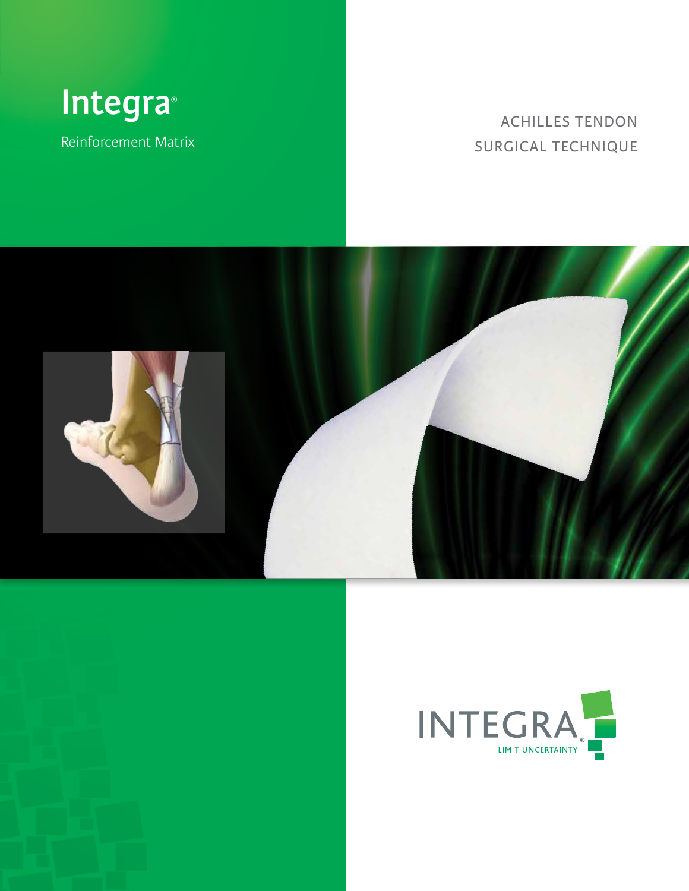

Reinforcement Matrix

# ACHILLES TENDON SURGICAL TECHNIQUE





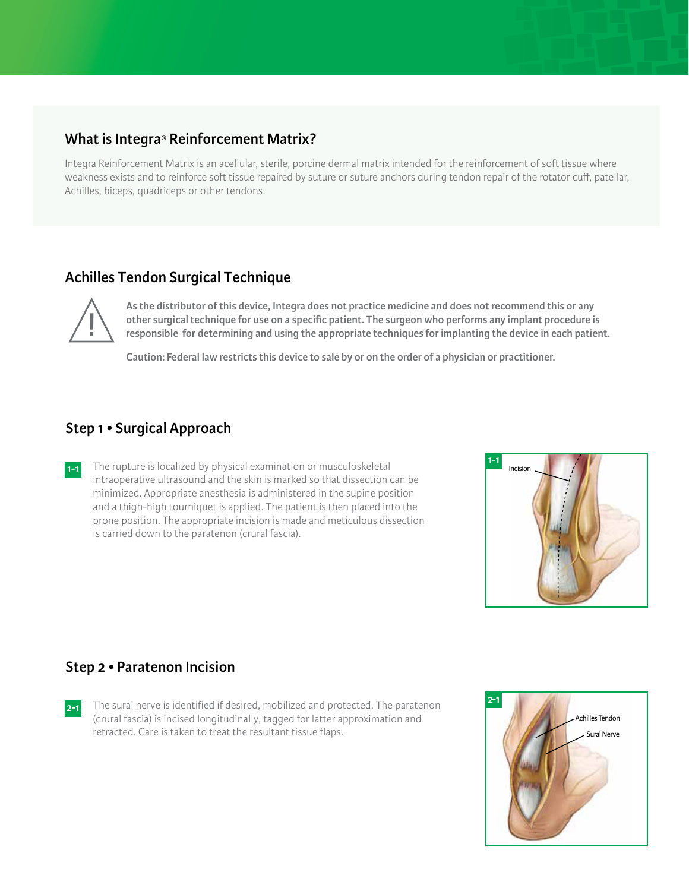### **What is Integra® Reinforcement Matrix?**

Integra Reinforcement Matrix is an acellular, sterile, porcine dermal matrix intended for the reinforcement of soft tissue where weakness exists and to reinforce soft tissue repaired by suture or suture anchors during tendon repair of the rotator cuff, patellar, Achilles, biceps, quadriceps or other tendons.

# **Achilles Tendon Surgical Technique**



**As the distributor of this device, Integra does not practice medicine and does not recommend this or any other surgical technique for use on a specific patient. The surgeon who performs any implant procedure is responsible for determining and using the appropriate techniques for implanting the device in each patient.**

**Caution: Federal law restricts this device to sale by or on the order of a physician or practitioner.**

### **Step 1 • Surgical Approach**

**1-1** The rupture is localized by physical examination or musculoskeletal intraoperative ultrasound and the skin is marked so that dissection can be minimized. Appropriate anesthesia is administered in the supine position and a thigh-high tourniquet is applied. The patient is then placed into the prone position. The appropriate incision is made and meticulous dissection is carried down to the paratenon (crural fascia).



### **Step 2 • Paratenon Incision**

**2-1** The sural nerve is identified if desired, mobilized and protected. The paratenon (crural fascia) is incised longitudinally, tagged for latter approximation and retracted. Care is taken to treat the resultant tissue flaps.

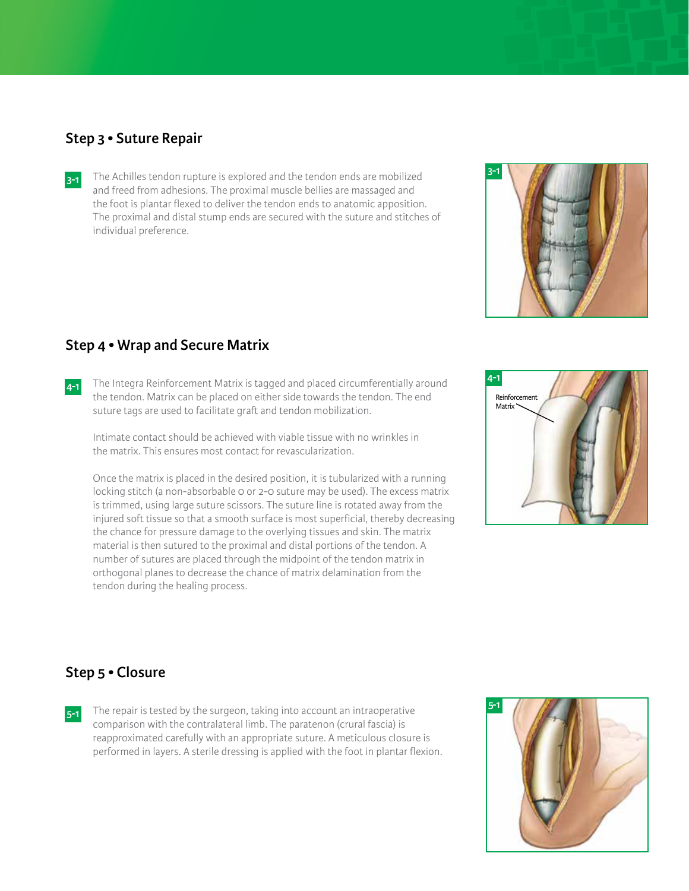#### **Step 3 • Suture Repair**

**3-1** The Achilles tendon rupture is explored and the tendon ends are mobilized and freed from adhesions. The proximal muscle bellies are massaged and the foot is plantar flexed to deliver the tendon ends to anatomic apposition. The proximal and distal stump ends are secured with the suture and stitches of individual preference.



### **Step 4 • Wrap and Secure Matrix**

**4-1** The Integra Reinforcement Matrix is tagged and placed circumferentially around the tendon. Matrix can be placed on either side towards the tendon. The end suture tags are used to facilitate graft and tendon mobilization.

Intimate contact should be achieved with viable tissue with no wrinkles in the matrix. This ensures most contact for revascularization.

Once the matrix is placed in the desired position, it is tubularized with a running locking stitch (a non-absorbable 0 or 2-0 suture may be used). The excess matrix is trimmed, using large suture scissors. The suture line is rotated away from the injured soft tissue so that a smooth surface is most superficial, thereby decreasing the chance for pressure damage to the overlying tissues and skin. The matrix material is then sutured to the proximal and distal portions of the tendon. A number of sutures are placed through the midpoint of the tendon matrix in orthogonal planes to decrease the chance of matrix delamination from the tendon during the healing process.



## **Step 5 • Closure**

**5-1** The repair is tested by the surgeon, taking into account an intraoperative comparison with the contralateral limb. The paratenon (crural fascia) is reapproximated carefully with an appropriate suture. A meticulous closure is performed in layers. A sterile dressing is applied with the foot in plantar flexion.